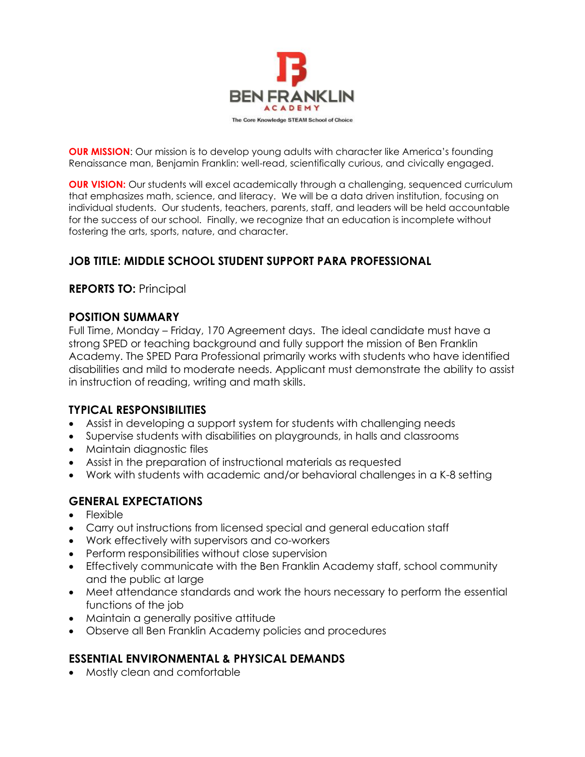

**OUR MISSION:** Our mission is to develop young adults with character like America's founding Renaissance man, Benjamin Franklin: well-read, scientifically curious, and civically engaged.

**OUR VISION:** Our students will excel academically through a challenging, sequenced curriculum that emphasizes math, science, and literacy. We will be a data driven institution, focusing on individual students. Our students, teachers, parents, staff, and leaders will be held accountable for the success of our school. Finally, we recognize that an education is incomplete without fostering the arts, sports, nature, and character.

## **JOB TITLE: MIDDLE SCHOOL STUDENT SUPPORT PARA PROFESSIONAL**

### **REPORTS TO:** Principal

#### **POSITION SUMMARY**

Full Time, Monday – Friday, 170 Agreement days. The ideal candidate must have a strong SPED or teaching background and fully support the mission of Ben Franklin Academy. The SPED Para Professional primarily works with students who have identified disabilities and mild to moderate needs. Applicant must demonstrate the ability to assist in instruction of reading, writing and math skills.

### **TYPICAL RESPONSIBILITIES**

- Assist in developing a support system for students with challenging needs
- Supervise students with disabilities on playgrounds, in halls and classrooms
- Maintain diagnostic files
- Assist in the preparation of instructional materials as requested
- Work with students with academic and/or behavioral challenges in a K-8 setting

### **GENERAL EXPECTATIONS**

- Flexible
- Carry out instructions from licensed special and general education staff
- Work effectively with supervisors and co-workers
- Perform responsibilities without close supervision
- Effectively communicate with the Ben Franklin Academy staff, school community and the public at large
- Meet attendance standards and work the hours necessary to perform the essential functions of the job
- Maintain a generally positive attitude
- Observe all Ben Franklin Academy policies and procedures

### **ESSENTIAL ENVIRONMENTAL & PHYSICAL DEMANDS**

• Mostly clean and comfortable